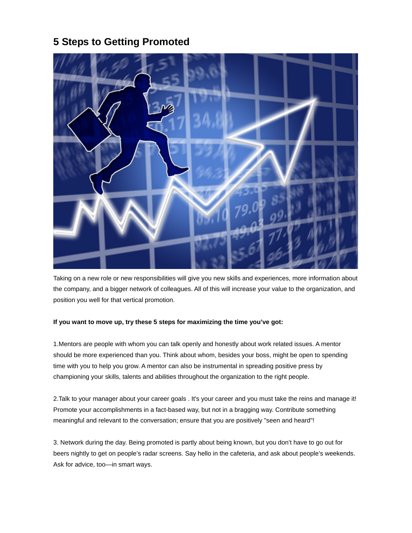## **5 Steps to Getting Promoted**



Taking on a new role or new responsibilities will give you new skills and experiences, more information about the company, and a bigger network of colleagues. All of this will increase your value to the organization, and position you well for that vertical promotion.

## **If you want to move up, try these 5 steps for maximizing the time you've got:**

1.Mentors are people with whom you can talk openly and honestly about work related issues. A mentor should be more experienced than you. Think about whom, besides your boss, might be open to spending time with you to help you grow. A mentor can also be instrumental in spreading positive press by championing your skills, talents and abilities throughout the organization to the right people.

2.Talk to your manager about your career goals . It's your career and you must take the reins and manage it! Promote your accomplishments in a fact-based way, but not in a bragging way. Contribute something meaningful and relevant to the conversation; ensure that you are positively "seen and heard"!

3. Network during the day. Being promoted is partly about being known, but you don't have to go out for beers nightly to get on people's radar screens. Say hello in the cafeteria, and ask about people's weekends. Ask for advice, too—in smart ways.